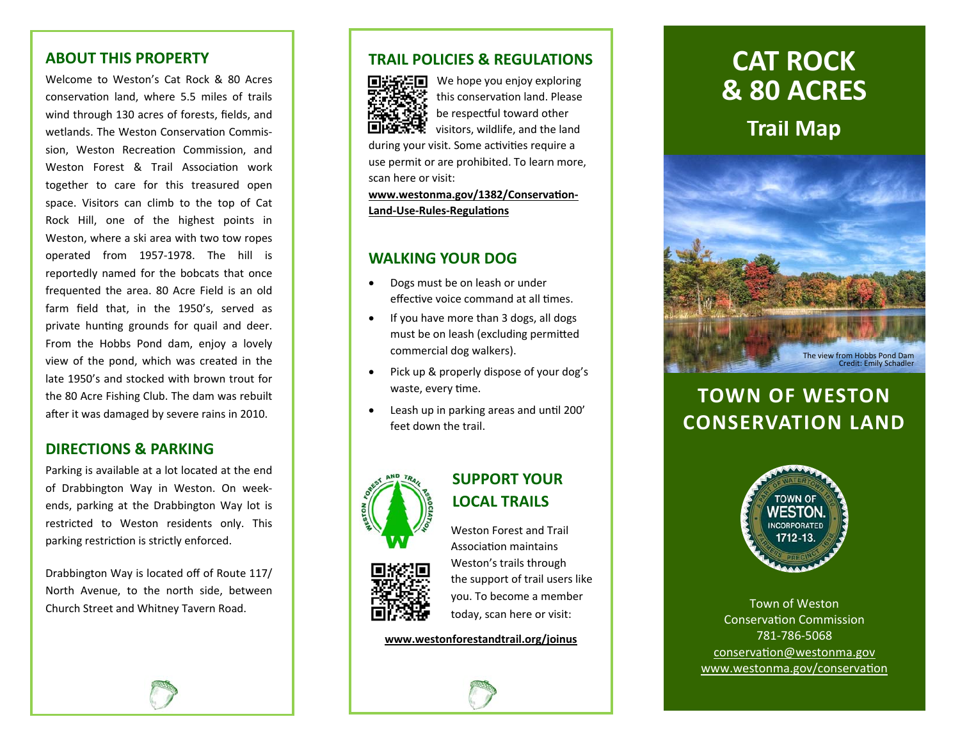## **ABOUT THIS PROPERTY**

Welcome to Weston's Cat Rock & 80 Acres conservation land, where 5.5 miles of trails wind through 130 acres of forests, fields, and wetlands. The Weston Conservation Commission, Weston Recreation Commission, and Weston Forest & Trail Association work together to care for this treasured open space. Visitors can climb to the top of Cat Rock Hill, one of the highest points in Weston, where a ski area with two tow ropes operated from 1957‐1978. The hill is reportedly named for the bobcats that once frequented the area. 80 Acre Field is an old farm field that, in the 1950's, served as private hunting grounds for quail and deer. From the Hobbs Pond dam, enjoy a lovely view of the pond, which was created in the late 1950's and stocked with brown trout for the 80 Acre Fishing Club. The dam was rebuilt after it was damaged by severe rains in 2010.

## **DIRECTIONS & PARKING**

Parking is available at a lot located at the end of Drabbington Way in Weston. On week‐ ends, parking at the Drabbington Way lot is restricted to Weston residents only. This parking restriction is strictly enforced.

Drabbington Way is located off of Route 117/ North Avenue, to the north side, between Church Street and Whitney Tavern Road.

## **TRAIL POLICIES & REGULATIONS**



We hope you enjoy exploring this conservation land. Please be respectful toward other visitors, wildlife, and the land

during your visit. Some activities require a use permit or are prohibited. To learn more, scan here or visit:

www.westonma.gov/1382/Conservation-**Land‐Use‐Rules‐RegulaƟons**

## **WALKING YOUR DOG**

- $\bullet$  Dogs must be on leash or under effective voice command at all times.
- $\bullet$  If you have more than 3 dogs, all dogs must be on leash (excluding permitted commercial dog walkers).
- $\bullet$  Pick up & properly dispose of your dog's waste, every time.
- $\bullet$ Leash up in parking areas and until 200' feet down the trail.





## **SUPPORT YOUR LOCAL TRAILS**

Weston Forest and Trail AssociaƟon maintains Weston's trails through the support of trail users like you. To become a member today, scan here or visit:

#### **www.westonforestandtrail.org/joinus**

# **Trail Map CAT ROCK & 80 ACRES**



## **TOWN OF WESTON CONSERVATION LAND**



Town of Weston ConservaƟon Commission 781‐786‐5068 conservation@westonma.gov www.westonma.gov/conservation